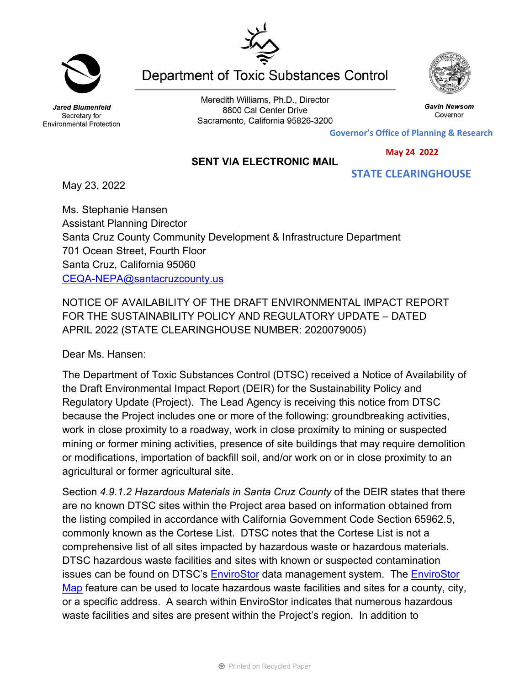Jared Blumenfeld Secretary for

Meredith Williams, Ph.D., Director 8800 Cal Center Drive Sacramento, California 95826-3200

**Department of Toxic Substances Control** 

**Governor's Office of Planning & Research**

 **May 24 2022**

 **STATE CLEARINGHOUSE**

## **SENT VIA ELECTRONIC MAIL**

May 23, 2022

Ms. Stephanie Hansen Assistant Planning Director Santa Cruz County Community Development & Infrastructure Department 701 Ocean Street, Fourth Floor Santa Cruz, California 95060 [CEQA-NEPA@santacruzcounty.us](mailto:CEQA-NEPA@santacruzcounty.us)

NOTICE OF AVAILABILITY OF THE DRAFT ENVIRONMENTAL IMPACT REPORT FOR THE SUSTAINABILITY POLICY AND REGULATORY UPDATE – DATED APRIL 2022 (STATE CLEARINGHOUSE NUMBER: 2020079005)

Dear Ms. Hansen:

The Department of Toxic Substances Control (DTSC) received a Notice of Availability of the Draft Environmental Impact Report (DEIR) for the Sustainability Policy and Regulatory Update (Project). The Lead Agency is receiving this notice from DTSC because the Project includes one or more of the following: groundbreaking activities, work in close proximity to a roadway, work in close proximity to mining or suspected mining or former mining activities, presence of site buildings that may require demolition or modifications, importation of backfill soil, and/or work on or in close proximity to an agricultural or former agricultural site.

Section *4.9.1.2 Hazardous Materials in Santa Cruz County* of the DEIR states that there are no known DTSC sites within the Project area based on information obtained from the listing compiled in accordance with California Government Code Section 65962.5, commonly known as the Cortese List. DTSC notes that the Cortese List is not a comprehensive list of all sites impacted by hazardous waste or hazardous materials. DTSC hazardous waste facilities and sites with known or suspected contamination issues can be found on DTSC's **[EnviroStor](https://dtsc.ca.gov/your-envirostor/#Tools)** data management system. The **EnviroStor** [Map](https://www.envirostor.dtsc.ca.gov/public/map/?myaddress=Sacramento&tour=True) feature can be used to locate hazardous waste facilities and sites for a county, city, or a specific address. A search within EnviroStor indicates that numerous hazardous waste facilities and sites are present within the Project's region. In addition to





Gavin Newsom

Governor



Environmental Protection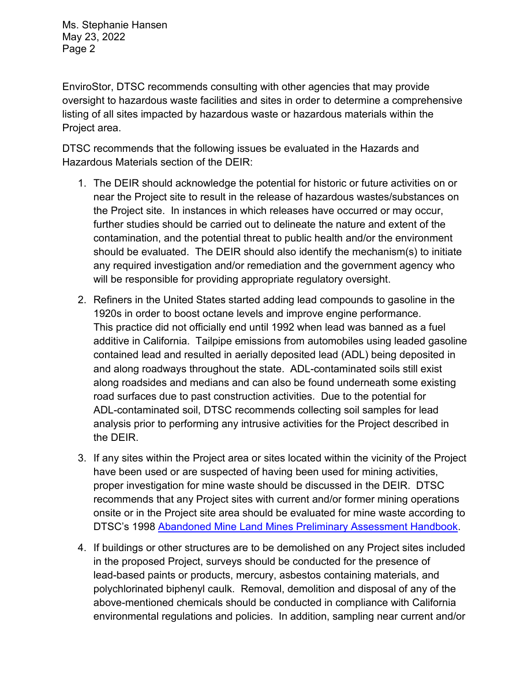Ms. Stephanie Hansen May 23, 2022 Page 2

EnviroStor, DTSC recommends consulting with other agencies that may provide oversight to hazardous waste facilities and sites in order to determine a comprehensive listing of all sites impacted by hazardous waste or hazardous materials within the Project area.

DTSC recommends that the following issues be evaluated in the Hazards and Hazardous Materials section of the DEIR:

- 1. The DEIR should acknowledge the potential for historic or future activities on or near the Project site to result in the release of hazardous wastes/substances on the Project site. In instances in which releases have occurred or may occur, further studies should be carried out to delineate the nature and extent of the contamination, and the potential threat to public health and/or the environment should be evaluated. The DEIR should also identify the mechanism(s) to initiate any required investigation and/or remediation and the government agency who will be responsible for providing appropriate regulatory oversight.
- 2. Refiners in the United States started adding lead compounds to gasoline in the 1920s in order to boost octane levels and improve engine performance. This practice did not officially end until 1992 when lead was banned as a fuel additive in California. Tailpipe emissions from automobiles using leaded gasoline contained lead and resulted in aerially deposited lead (ADL) being deposited in and along roadways throughout the state. ADL-contaminated soils still exist along roadsides and medians and can also be found underneath some existing road surfaces due to past construction activities. Due to the potential for ADL-contaminated soil, DTSC recommends collecting soil samples for lead analysis prior to performing any intrusive activities for the Project described in the DEIR.
- 3. If any sites within the Project area or sites located within the vicinity of the Project have been used or are suspected of having been used for mining activities, proper investigation for mine waste should be discussed in the DEIR. DTSC recommends that any Project sites with current and/or former mining operations onsite or in the Project site area should be evaluated for mine waste according to DTSC's 1998 [Abandoned Mine Land Mines Preliminary Assessment Handbook.](https://dtsc.ca.gov/2020/04/17/document-request/?wpf337186_14=https://dtsc.ca.gov/wp-content/uploads/sites/31/2018/11/aml_handbook.pdf)
- 4. If buildings or other structures are to be demolished on any Project sites included in the proposed Project, surveys should be conducted for the presence of lead-based paints or products, mercury, asbestos containing materials, and polychlorinated biphenyl caulk. Removal, demolition and disposal of any of the above-mentioned chemicals should be conducted in compliance with California environmental regulations and policies. In addition, sampling near current and/or